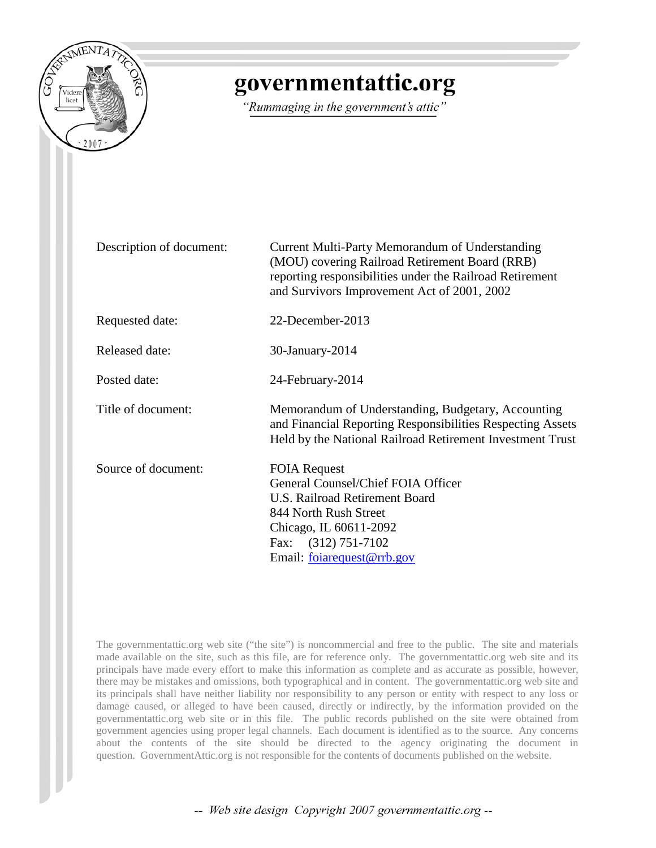

# governmentattic.org

"Rummaging in the government's attic"

| Description of document: | Current Multi-Party Memorandum of Understanding<br>(MOU) covering Railroad Retirement Board (RRB)<br>reporting responsibilities under the Railroad Retirement<br>and Survivors Improvement Act of 2001, 2002 |
|--------------------------|--------------------------------------------------------------------------------------------------------------------------------------------------------------------------------------------------------------|
| Requested date:          | 22-December-2013                                                                                                                                                                                             |
| <b>Released date:</b>    | 30-January-2014                                                                                                                                                                                              |
| Posted date:             | 24-February-2014                                                                                                                                                                                             |
| Title of document:       | Memorandum of Understanding, Budgetary, Accounting<br>and Financial Reporting Responsibilities Respecting Assets<br>Held by the National Railroad Retirement Investment Trust                                |
| Source of document:      | <b>FOIA Request</b><br>General Counsel/Chief FOIA Officer<br><b>U.S. Railroad Retirement Board</b><br>844 North Rush Street<br>Chicago, IL 60611-2092<br>Fax: $(312)$ 751-7102<br>Email: foiarequest@rrb.gov |

The governmentattic.org web site ("the site") is noncommercial and free to the public. The site and materials made available on the site, such as this file, are for reference only. The governmentattic.org web site and its principals have made every effort to make this information as complete and as accurate as possible, however, there may be mistakes and omissions, both typographical and in content. The governmentattic.org web site and its principals shall have neither liability nor responsibility to any person or entity with respect to any loss or damage caused, or alleged to have been caused, directly or indirectly, by the information provided on the governmentattic.org web site or in this file. The public records published on the site were obtained from government agencies using proper legal channels. Each document is identified as to the source. Any concerns about the contents of the site should be directed to the agency originating the document in question. GovernmentAttic.org is not responsible for the contents of documents published on the website.

-- Web site design Copyright 2007 governmentattic.org --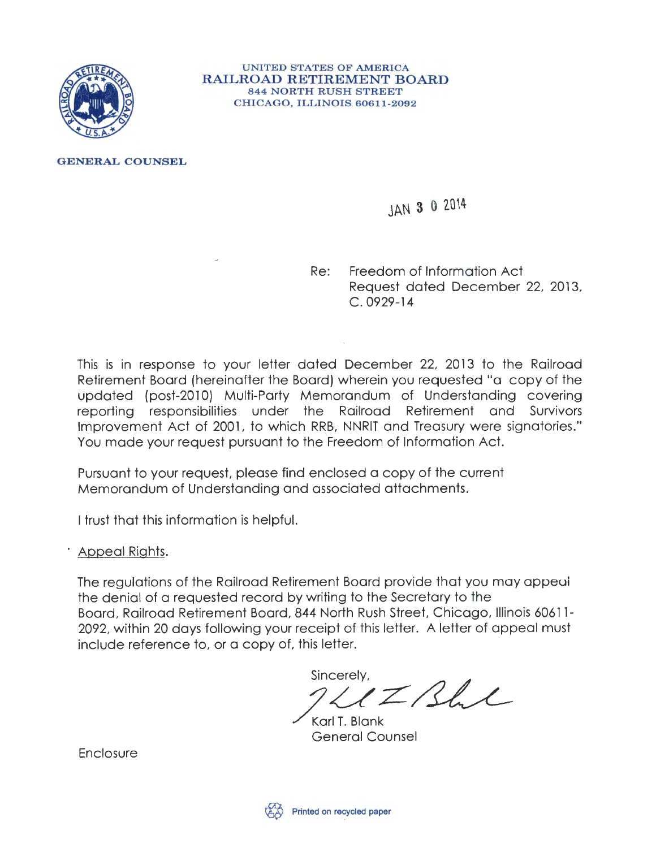

UNITED STATES OF AMERICA RAILROAD RETIREMENT BOARD 844 NORTH RUSH STREET CHICAGO, ILLINOIS 60611-2092

GENERAL COUNSEL

# JAN 3 0 2014

Re: Freedom of Information Act Request dated December 22, 2013, C. 0929-14

This is in response to your letter dated December 22, 2013 to the Railroad Retirement Board (hereinafter the Board) wherein you requested "a copy of the updated (post-2010) Multi-Party Memorandum of Understanding covering reporting responsibilities under the Railroad Retirement and Survivors Improvement Act of 2001, to which RRB, NNRIT and Treasury were signatories." You made your request pursuant to the Freedom of Information Act.

Pursuant to your request, please find enclosed a copy of the current Memorandum of Understanding and associated attachments.

I trust that this information is helpful.

· Appeal Rights.

The regulations of the Railroad Retirement Board provide that you may appeui the denial of a requested record by writing to the Secretary to the Board, Railroad Retirement Board, 844 North Rush Street, Chicago, Illinois 60611- 2092, within 20 days following your receipt of this letter. A letter of appeal must include reference to, or a copy of, this letter.

sincerely,<br> $72/12$ 

Karl T. Blank<br>General Counsel

Enclosure

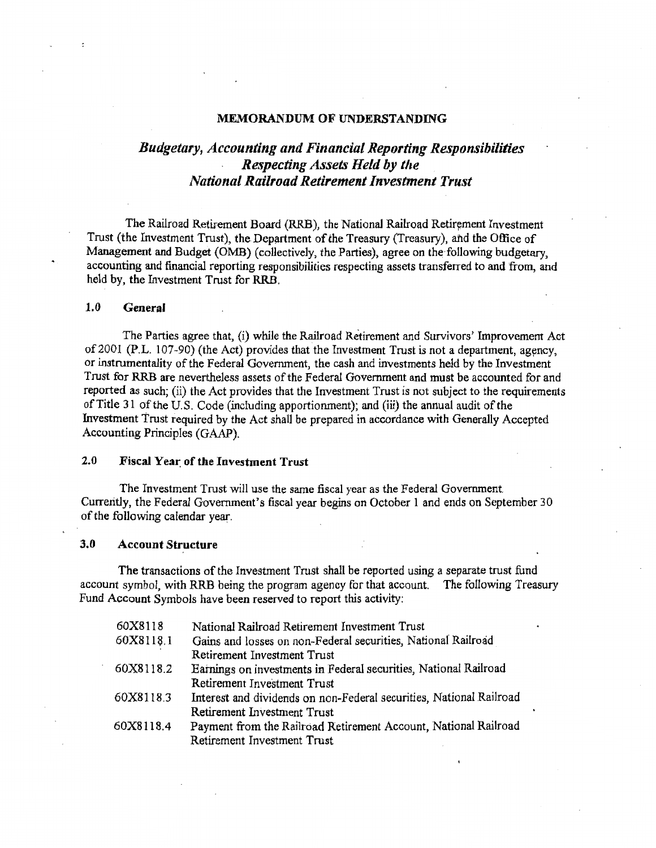#### MEMORANDUM OF UNDERSTANDING

### *Budgetary, Accounting and Financial Reporting Responsibilities Respecting Asseb' Held by tile National Railroad Retirement Investment Trust*

The Railroad Retirement Board (RRB), the National Railroad Retirement Investment Trust (the Investment Trust), the Department of the Treasury (Treasury), and the Office of Management and Budget (OMB) (collectively, the Parties), agree on the following budgetary, accounting and financial reporting responsibilities respecting assets transferred to and from, and held by, the Investment Trust for RRB.

#### 1.0 General

The Parties agree that, (i) while the Railroad Retirement and Survivors' Improvement Act of  $2001$  (P.L. 107-90) (the Act) provides that the Investment Trust is not a department, agency, or instrumentality of the Federal Government, the cash and investments held by the Investment Trust for RRB are nevertheless assets of the Federal Government and must be accounted for and reported as such; (ii) the Act provides that the Investment Trust is not subject to the requirements of Title 31 of the U.S. Code (including apportiorunent); and (iii) the annual audit of the Investment Trust required by the Act shall be prepared in accordance with Generally Accepted Accounting Principles (GAAP).

#### 2.0 Fiscal Year of the Investment Trust

The Investment Trust will use the same fiscal year as the Federal Government. Currently, the Federal Government's fiscal year begins on October 1 and ends on September 30 of the following calendar year.

#### 3.0 Account Structure

The transactions of the Investment Trust shall be reported using a separate trust fund account symbol, with RRB being the program agency for that account. The following Treasury Fund Account Symbols have been reserved to report this activity:

| National Railroad Retirement Investment Trust                       |
|---------------------------------------------------------------------|
| Gains and losses on non-Federal securities, National Railroad       |
| Retirement Investment Trust                                         |
| Earnings on investments in Federal securities, National Railroad    |
| Retirement Investment Trust                                         |
| Interest and dividends on non-Federal securities, National Railroad |
| Retirement Investment Trust                                         |
| Payment from the Railroad Retirement Account, National Railroad     |
| Retirement Investment Trust                                         |
|                                                                     |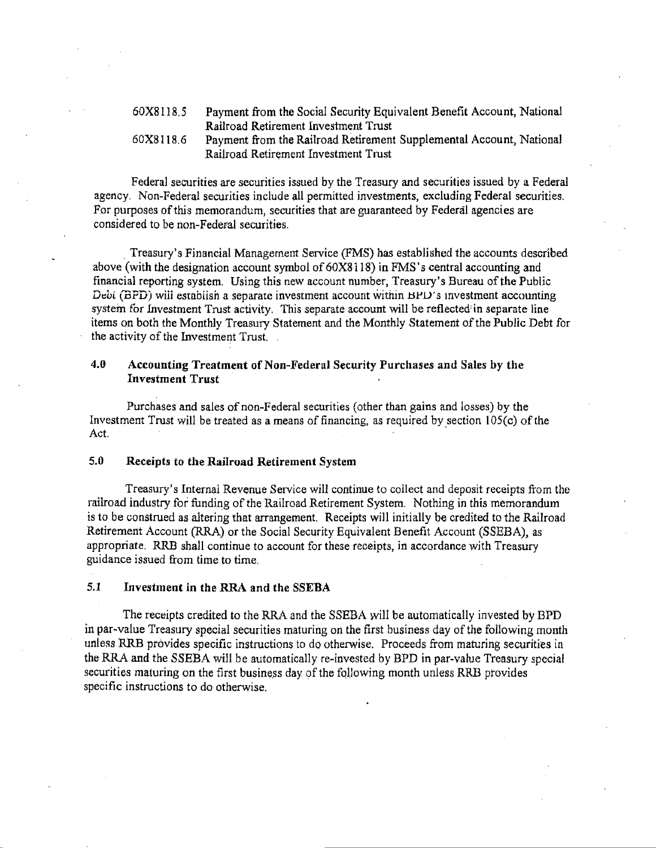| 60X8118.5 | Payment from the Social Security Equivalent Benefit Account, National |
|-----------|-----------------------------------------------------------------------|
|           | Railroad Retirement Investment Trust                                  |
| 60X8118.6 | Payment from the Railroad Retirement Supplemental Account, National   |
|           | Railroad Retirement Investment Trust                                  |

Federal securities are securities issued by the Treasury and securities issued by a Federal agency. Non-Federal securities include all permitted investments, excluding Federal securities. For purposes of this memorandum, securities that are guaranteed by Federal agencies are considered to be non-Federal securities .

Treasury's Financial Management Service (FMS) has established the accounts described above (with the designation account symbol of 60X8118) in FMS's central accounting and financial reporting system. Using this new account number, Treasury's Bureau of the Public *Debi* (BPD) will estabiish a separate investment account within BPD's investment accounting system for Investment Trust activity. This separate account will be reflected in separate line items on both the Monthly Treasury Statement and the Monthly Statement of the Public Debt for the activity of the Investment Trust.

### 4.0 Accounting Treatment of Non-Federal Security Purchases and Sales by the Investment Trust

Purchases and sales of non-Federal securities (other than gains and losses) by the Investment Trust will be treated as a means of financing, as required by section 105(c) of the  $\overline{A}$  ct  $\overline{A}$  ,  $\overline{A}$  ,  $\overline{A}$  ,  $\overline{A}$  ,  $\overline{A}$  ,  $\overline{A}$  ,  $\overline{A}$  ,  $\overline{A}$  ,  $\overline{A}$  ,  $\overline{A}$  ,  $\overline{A}$  ,  $\overline{A}$  ,  $\overline{A}$  ,  $\overline{A}$  ,  $\overline{A}$  ,  $\overline{A}$  ,  $\overline{A}$  ,  $\overline{A}$  ,  $\overline{A}$  ,

#### 5.0 Receipts to the Railroad Retirement System

Treasury's Internal Revenue Service will continue to collect and deposit receipts from the railroad industry for funding of the Railroad Retirement System. Nothing in this memorandum is to be construed as altering that arrangement. Receipts will initially be credited to the Railroad Retirement Account (R.RA) or the Social Security Equivalent Benefit Account (SSEBA), as appropriate. RRB shall continue to account for these receipts, in accordance with Treasury guidance issued from time to time.

#### 5.1 Investment in the RRA and the SSEBA

The receipts credited to the RRA and the SSEBA will be automatically invested by BPD in par~value Treasury special securities maturing on the first business day of the following month unless RRB provides specific instructions to do otherwise. Proceeds from maturing securities in the RRA and the SSEBA will be automatically re~invested by BPD in par-value Treasury special securities maturing on the first business day of the following month unless RRB provides specific instructions to do otherwise.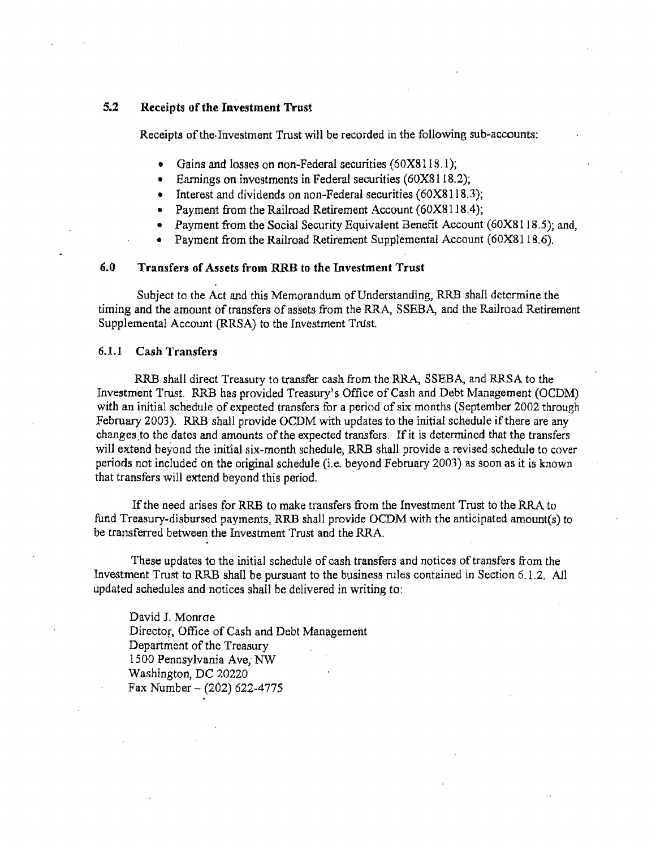### 5.2 Receipts of the Investment Trust

Receipts of the· Investment Trust will be recorded in the following sub-accounts:

- Gains and losses on non-Federal securities (60X8118.1);
- Earnings on investments in Federal securities (60X8118.2);
- Interest and dividends on non-Federal securities  $(60X8118.3)$ ;
- Payment from the Railroad Retirement Account (60X8118.4);
- Payment from the Social Security Equivalent Benefit Account (60X8118.5); and,
- Payment from the Railroad Retirement Supplemental Account (60X8118.6).

#### 6.0 Transfers of Assets from RRB to the Investment Trust

Subject to the Act and this Memorandum of Understanding, RRB shalt determine the timing and the amount of transfers of assets from the RRA, SSEBA, and the Railroad Retirement Supplemental Account (RRSA) to the Investment Trust.

#### 6.1.1 Cash Transfers

RRB shall direct Treasury to transfer cash from the RRA, SSEBA, and RRSA to the Investment Trust. RRB has provided Treasury's Office of Cash and Debt Management (OCDM) with an initial schedule of expected transfers for a period of six months (September 2002 through February 2003). RRB shall provide OCDM with updates to the initial schedule if there are any changes to the dates and amounts of the expected transfers. If it is determined that the transfers will extend beyond the initial six-month schedule, RRB shall provide a revised schedule to cover periods not included on the original schedule (i.e. beyond February 2.003) as soon as it *is* known that transfers will extend beyond this period.

If the need arises for RRB to make transfers from the Investment Trust to the RRA to fund Treasury-disbursed payments, RRB shall provide OCDM with the anticipated amount(s) to be transferred between the Investment Trust and the RRA.

These updates to the initial schedule of cash transfers and notices of transfers from the Investment Trust to RRB shall be pursuant to the business rules contained in Section 6.1.2. *All*  updated schedules and notices shall be delivered in writing to:

David J. Monroe Director, Office of Cash and Debt Management Department of the Treasury 1500 Pennsylvania Ave, NW Washington, DC 20220  $Fax Number - (202) 622-4775$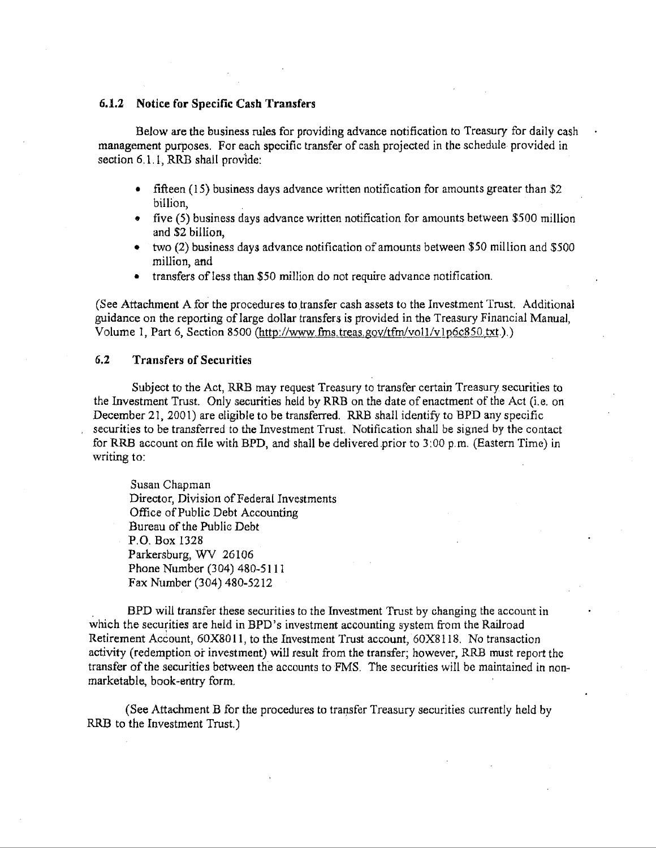#### 6.1.2 Notice for Specific Cash Transfers

Below are the business rules for providing advance notification to Treasury for daily cash management purposes. For each specific transfer of cash projected in the schedule provided in section  $6, 1, 1$ , RRB shall provide:

- fifteen  $(15)$  business days advance written notification for amounts greater than \$2 billion,
- five (5) business days advance written notification for amounts between \$500 million and \$2 billion,
- two (2) business days advance notification of amounts between *\$50* million and \$500 million, and
- transfers of less than \$50 million do not require advance notification.

(See Attachment A for the procedures to transfer cash assets to the Investment Trust. Additional guidance on the reporting of large dollar transfers is provided in the Treasury Financial Manual, Volume 1, Part 6, Section 8500 (http://www.fms.treas.gov/tfm/vol1/vlp6c850.txt.).)

#### 6.2 Transfers of Securities

Subject to the Act, RRB may request Treasury to transfer certain Treasury securities to the Investment Trust. Only securities held by RRB on the date of enactment of the Act (i.e. on December 21, 2001) are eligible to be transferred. RRB shall identify to BPD any specific securities to be transferred to the Investment Trust. Notification shall be signed by the contact for RRB account on file with BPD, and shall be delivered prior to  $3:00$  p.m. (Eastern Time) in writing to:

Susan Chapman Director, Division of Federal Investments Office of Public Debt Accounting :Bureau of the Public Debt P.O. Box 1328 Parkersburg, WV 26106 Phone Number (304) 480-5111 Fax Number (304) 480-5212

. B.PD will transfer these securities to the Investment Trust by changing the account in which the securities are held in BPD's investment accounting system from the Railroad Retirement Account, 60X8011, to the Investment Trust account, 60X8118. No transaction activity (redemption or investment) will result from the transfer; however, RRB must report the transfer of the securities between the accounts to FMS. The securities will be maintained in nonmarketable, book-entry form.

(See Attachment B for the procedures to transfer Treasury securities currently held by RRB to the Investment Trust.)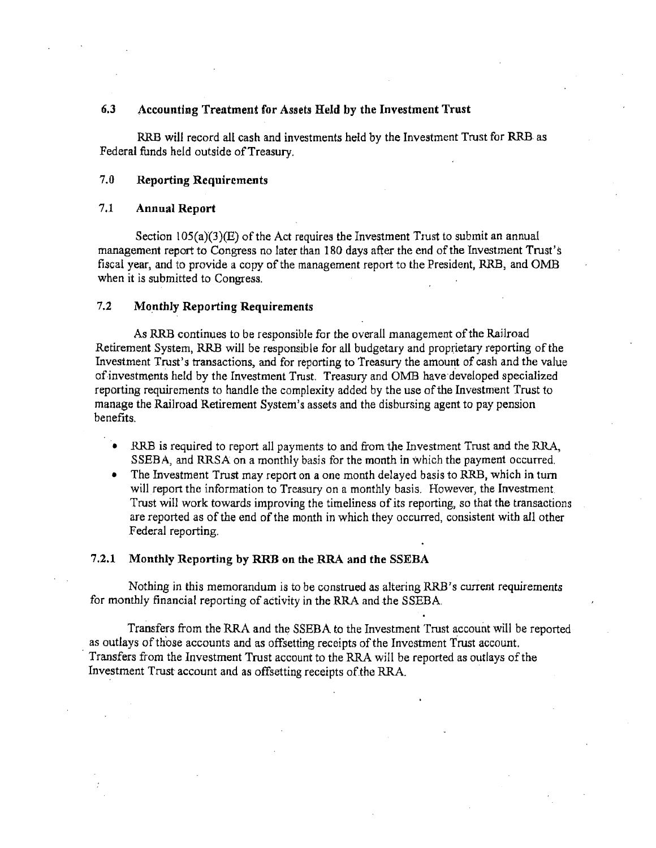### 6.3 Accounting Treatment for Assets Held by the Investment Trust

RRB will record all cash and investments held by the Investment Trust for RRB as Federal funds held outside of Treasury.

#### 7.0 Reporting Requirements

#### 7 .1 Annual Report

Section  $105(a)(3)(E)$  of the Act requires the Investment Trust to submit an annual management report to Congress no later than 180 days after the end of the Investment Trust's fiscal year, and to provide a copy of the management report to the President, RRB, and OMB when it is submitted to Congress.

#### 7.2 Monthly Reporting Requirements

*As* RRB continues to be responsible for the overall management of the Railroad Retirement System, RRB will be responsible for all budgetary and proprietary reporting of the Investment Trust's transactions, and for reporting to Treasury the amount of cash and the value of investments held by the Investment Trust. Treasury and OMB have developed specialized reporting requirements to handle the complexity added by the use of the Investment Trust to manage the Railroad Retirement System's assets and the disbursing agent to pay pension benefits.

- RRB is required to report all payments to and from the Investment Trust and the RRA, SSEBA, and RRSA on a monthly basis for the month in Which the payment occurred.
- The Investment Trust may report on a one month delayed basis to RRB, which in tum will report the information to Treasury on a monthly basis. However, the Investment. Trust will work towards improving the timeliness of its reporting, so that the transactions are reported as of the end of the month in which they occurred, consistent with all other Federal reporting.

#### 7.2.1 Monthly Reporting by RRB on the RRA and the SSEBA

Nothing in this memorandum is to be construed as altering RRB's current requirements for monthly financial reporting of activity in the RRA and the SSEBA.

Transfers from the RRA and the SSEBA to the Investment Trust account will be reported as outlays of those accounts and as offsetting receipts of the Investment Trust account. Transfers from the Investment Trust account to the RRA will be reported as outlays of the Investment Trust account and as offsetting receipts of the RR.A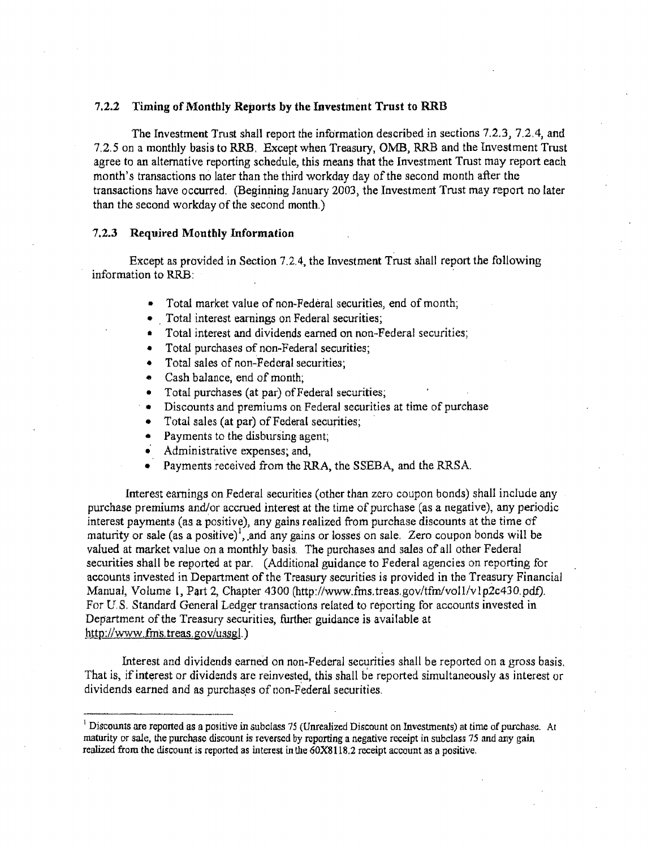#### 7.2.2 Timing of Monthly Reports by the Investment Trust to RRB

The Investment Trust shall report the information described in sections 7.2.3, 7.2.4, and 7.2.5 on a monthly basis to RRB. Except when Treasury, OMB, RRB and the Investment Trust agree to an alternative reporting schedule, this means that the Investment Trust may report each month's transactions no later than the third workday day of the second month after the transactions have occurred. (Beginning January 2003, the Investment Trust may report no later than the second workday of the second month.)

#### 7.2.3 Required Monthly mformation

Except as provided in Section 7.2.4, the Investment Trust shall report the following information to RRB:

- Total market value of non-Federal securities, end of month;
- Total interest earnings on Federal securities;
- Total interest and dividends earned on non-Federal securities;
- Total purchases of non-Federal securities;
- Total sales of non-Federal securities;
- Cash balance, end of month;
- Total purchases (at par) of Federal securities;
- Discounts and premiums on Federal securities at time of purchase
- Total sales (at par) of Federal securities;
- Payments to the disbursing agent;
- Administrative expenses; and,
- Payments received from the RRA, the SSEBA, and the RRSA.

Interest earnings on Federal securities (other than zero coupon bonds) shall include any purchase premiums and/or accrued interest at the time of purchase (as a negative), any periodic interest payments (as a positive), any gains realized from purchase discounts at the time of maturity or sale (as a positive)<sup>1</sup>, and any gains or losses on sale. Zero coupon bonds will be valued at market value on a monthly basis. The purchases and sales of all other Federal securities shall be reported at par. (Additional guidance to Federal agencies on reporting for accounts invested in Department of the Treasury securities is provided in the Treasury Financial Manual, Volume 1, Part 2, Chapter 4300 (http://www.fms.treas.gov/tfm/vol1/v1p2c430.pdf). For U.S. Standard General Ledger transactions related to reporting for accounts invested in Department of the Treasury securities, further guidance is available at http://www.fms.treas.gov/ussgl.)

Interest and dividends earned on non-Federal securities shall be reported on a gross basis. That is, if interest or dividends are reinvested, this shall be reported simultaneously as interest or dividends earned and as purchases of non-Federal securities.

<sup>&</sup>lt;sup>1</sup> Discounts are reported as a positive in subclass 75 (Unrealized Discount on Investments) at time of purchase. At maturity or sale, the purchase discount is reversed by reporting a negative receipt in subclass 75 and any gain realized from the discount is reported as interest *in* the 60X81 l8.2 receipt account as a positive.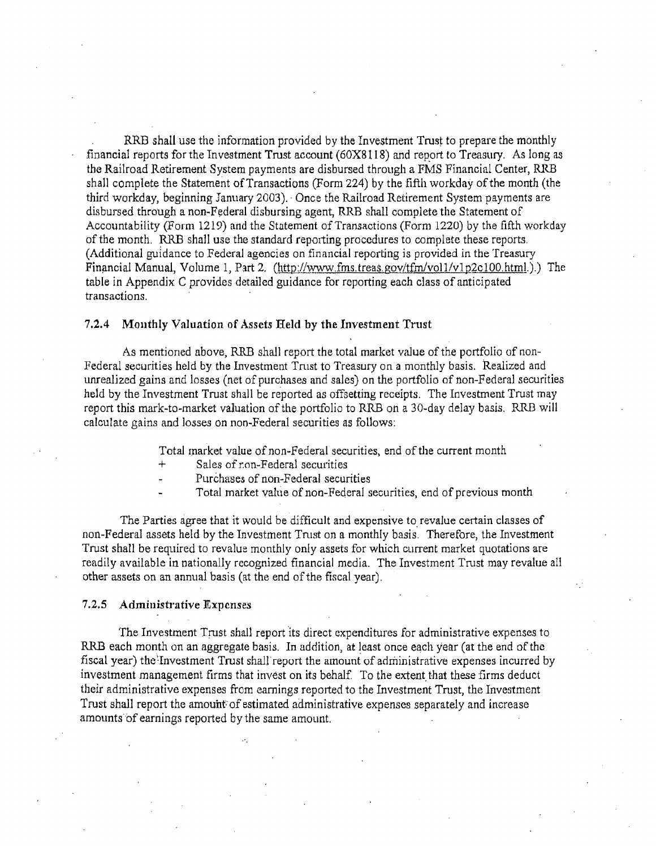RRB shall use the information provided by the Investment Trust to prepare the monthly financial reports for the Investment Trust account ( 60X8l18) and report to Treasury. As long as the Railroad Retirement System payments are disbursed through a FMS Financial Center, RRB shall complete the Statement of Transactions (Form 224) by the fifth workday of the month (the third workday, beginning January 2003). · Once the Railroad Retirement System payments are disbursed through a non-Federal disbursing agent, RRB shall complete the Statement of Accountability (Form 1219) and the Statement of Transactions (Form 1220) by the fifth workday of the month. RRB shall use the standard reporting procedures to complete these reports. (Additional guidance to Federal agencies on financial reporting is provided in the Treasury Financial Manual, Volume 1, Part 2. (http://www.fms.treas.gov/tfm/vol1/v1p2c100.html.).) The table in Appendix C provides detailed guidance for reporting each class of anticipated transactions.

#### 7.2.4 Monthly Valuation of Assets Held by the Investment Trust

As mentioned above, RRB shall report the total market value of the portfolio of non-Federal securities held by the Investment Tmst to Treasury on a monthly basis. Realized and unrealized gains and losses (net of purchases and sales) on the portfolio of non-Federal securities held by the Investment Trust shall be reported as offsetting receipts. The Investment Trust may report this mark-to-market valuation of the portfolio to RRB on a 30-day delay basis. RRBwill calculate gains and losses on non-Federal securities as follows:

Total market value of non-Federal securities, end of the current month

- Sales of non-Federal securities
- Purchases of non-Federal securities
- Total market value of non-Federal securities, end of previous month

The Parties agree that it would be difficult and expensive to revalue certain classes of non-Federal assets held by the Investment Tmst on a monthly basis. Therefore, the Investment Trust sha11 be required to revalue monthly only assets for which current market quotations are readily available in nationally recognized financial media. The Investment Trust may revalue all other assets on an annual basis (at the end of the fiscal year).

#### 7.2.5 Administrative Expenses

The Investment Trust shall report its direct expenditures for administrative expenses to RRB each month on an aggregate basis. In addition, at least once each year (at the end of the fiscal year) the Investment Trust shall report the amount of administrative expenses incurred by investment management firms that invest on its behalf. To the extent that these firms deduct their administrative expenses from earnings reported to the Investment Trust, the Investment Trust shall report the amouht of estimated administrative expenses separately and increase amounts of earnings reported by the same amount.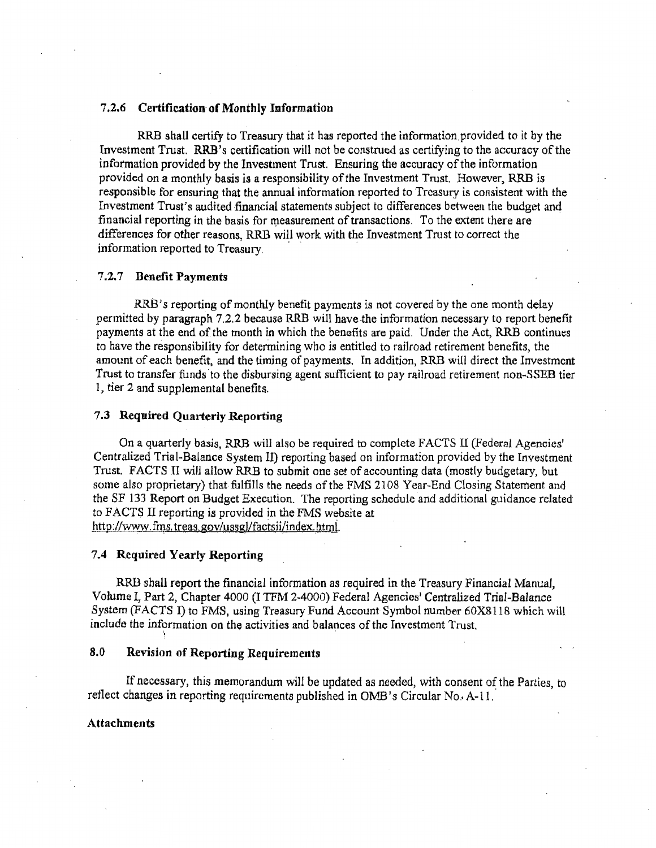#### 7 .2.6 Certification· of Monthly Information

RRB shall certify to Treasury that it has reported the information provided to it by the Investment Trust. RRB 's certification will not be construed as certifying to the accuracy of the infotmation provided by the Investment Trust. Ensuring the accuracy of the information provided on a monthly basis is a responsibility of the Investment Trust. However, RRB is responsible for ensuring that the annual information reported to Treasury is consistent with the Investment Trust's audited financial statements subject to differences between the budget and financial reporting in the basis for measurement of transactions. To the extent there are differences for other reasons, RRB will work with the Investment Trust to correct the information reported to Treasury.

#### 7 .2. 7 Benefit Payments

RRB's reporting of monthly benefit payments is not covered by the one month delay permitted by paragraph 7.2.2 because RRB will have-the information necessary to report benefit payments at the end of the month in which the benefits are paid. Under the Act, RRB continues to have the responsibility for determining who is entitled to railroad retirement benefits, the amount of each benefit, and the timing of payments. In addition, RRB will direct the Investment Trust to transfer funds to the disbursing agent sufficient to pay railroad retirement non-SSEB tier 1, tier 2 and supplemental benefits.

#### 7 .3 Required Quarterly Reporting

On a quarterly basis, RRB will also be required to complete FACTS II (Federal Agencies' Centralized Trial-Balance System II) reporting based on information provided by the Investment Trust. FACTS Il will allow RRB to submit one set of accounting data (mostly budgetary, but some also proprietary) that fulfills the needs of the FMS 2108 Year-End Closing Statement and the SF 133 Report on Budget Execution. The reporting schedule and additional guidance related to FACTS II reporting is provided in the FMS website at http://www.fms.treas.gov/ussgl/factsii/index.html.

#### 7.4 Required Yearly Reporting

·,

RRB shall report the financial information as required in the Treasury Financial Manual, Volume I, Part 2, Chapter 4000 (I TFM 2-4000) Federal Agencies' Centralized Trial-Balance System (FACTS I) to FMS, using Treasury Fund Account Symbol number 60X8118 which will include the information on the activities and balances of the Investment Trust.

#### 8.0 Revision of Reporting Requirements

If necessary, this memorandum will be updated as needed, with consent of the Parties, to reflect changes in reporting requirements published in OMB's Circular No. A-11.

#### Attachments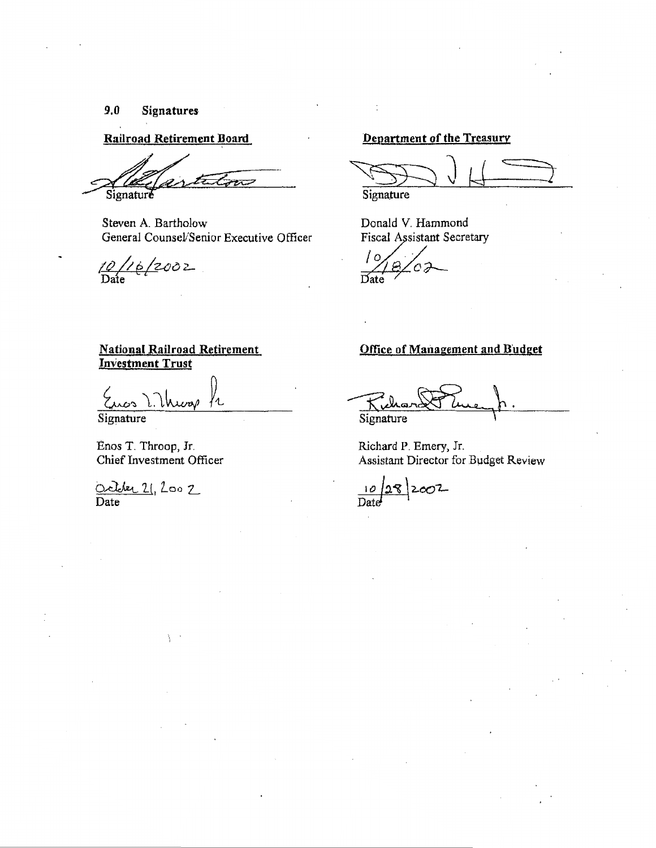#### $9.0$ Signatures

**Railroad Retirement Board** 

سرح Signature

Steven A. Bartholow General Counsel/Senior Executive Officer

 $\frac{10}{2002}$ 

### Department of the Treasury

Signature

Donald V. Hammond Fiscal Assistant Secretary

### **National Railroad Retirement Investment Trust**

1. Unios fr

Signature

Enos T. Throop, Jr. Chief Investment Officer

October 21, 200 2

### **Office of Management and Budget**

Signature

Richard P. Emery, Jr. Assistant Director for Budget Review

 $\frac{10}{\text{Date}}$  2007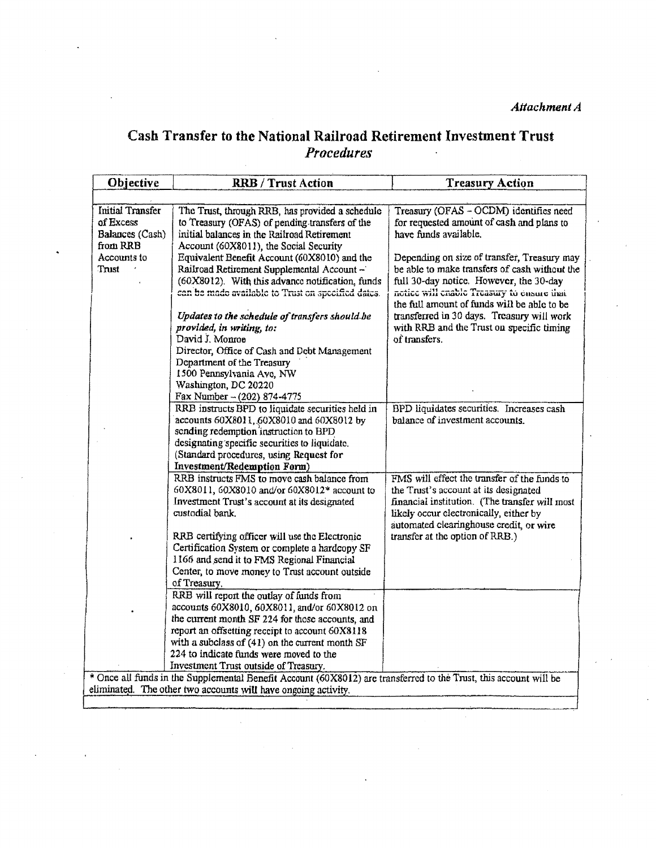Attachment A

#### Cash Transfer to the National Railroad Retirement Investment Trust **Procedures**  $\ddot{\phantom{a}}$

| Objective                                                                          | <b>RRB</b> / Trust Action                                                                                                                                                                                                                                                                            | <b>Treasury Action</b>                                                                                                                                                                                                       |
|------------------------------------------------------------------------------------|------------------------------------------------------------------------------------------------------------------------------------------------------------------------------------------------------------------------------------------------------------------------------------------------------|------------------------------------------------------------------------------------------------------------------------------------------------------------------------------------------------------------------------------|
|                                                                                    |                                                                                                                                                                                                                                                                                                      |                                                                                                                                                                                                                              |
| <b>Initial Transfer</b><br>of Excess<br>Balances (Cash)<br>from RRB<br>Accounts to | The Trust, through RRB, has provided a schedule<br>to Treasury (OFAS) of pending transfers of the<br>initial balances in the Railroad Retirement<br>Account (60X8011), the Social Security<br>Equivalent Benefit Account (60X8010) and the                                                           | Treasury (OFAS - OCDM) identifies need<br>for requested amount of cash and plans to<br>have funds available.<br>Depending on size of transfer, Treasury may                                                                  |
| Trust                                                                              | Railroad Retirement Supplemental Account -<br>(60X8012). With this advance notification, funds<br>can be made available to Trust on specified dates.                                                                                                                                                 | be able to make transfers of cash without the<br>full 30-day notice. However, the 30-day<br>notice will cnable Treasury to ensure that<br>the full amount of funds will be able to be                                        |
|                                                                                    | Updates to the schedule of transfers should be<br>provided, in writing, to:<br>David J. Monroe<br>Director, Office of Cash and Debt Management<br>Department of the Treasury<br>1500 Pennsylvania Ave, NW                                                                                            | transferred in 30 days. Treasury will work<br>with RRB and the Trust on specific timing<br>of transfers.                                                                                                                     |
|                                                                                    | Washington, DC 20220                                                                                                                                                                                                                                                                                 |                                                                                                                                                                                                                              |
|                                                                                    | Fax Number $- (202) 874 - 4775$<br>RRB instructs BPD to liquidate securities held in<br>accounts 60X8011, 60X8010 and 60X8012 by<br>sending redemption instruction to BPD<br>designating specific securities to liquidate.<br>(Standard procedures, using Request for<br>Investment/Redemption Form) | BPD liquidates securities. Increases cash<br>balance of investment accounts.                                                                                                                                                 |
|                                                                                    | RRB instructs FMS to move cash balance from<br>60X8011, 60X8010 and/or 60X8012* account to<br>Investment Trust's account at its designated<br>custodial bank.                                                                                                                                        | FMS will effect the transfer of the funds to<br>the Trust's account at its designated<br>financial institution. (The transfer will most<br>likely occur electronically, either by<br>automated clearinghouse credit, or wire |
|                                                                                    | RRB certifying officer will use the Electronic<br>Certification System or complete a hardcopy SF<br>1166 and send it to FMS Regional Financial<br>Center, to move money to Trust account outside<br>of Treasury.                                                                                     | transfer at the option of RRB.)                                                                                                                                                                                              |
|                                                                                    | RRB will report the outlay of funds from<br>accounts 60X8010, 60X8011, and/or 60X8012 on<br>the current month SF 224 for those accounts, and                                                                                                                                                         |                                                                                                                                                                                                                              |
|                                                                                    | report an offsetting receipt to account 60X8118<br>with a subclass of $(41)$ on the current month SF<br>224 to indicate funds were moved to the                                                                                                                                                      |                                                                                                                                                                                                                              |
|                                                                                    | Investment Trust outside of Treasury.<br>* Once all funds in the Supplemental Benefit Account (60X8012) are transferred to the Trust, this account will be                                                                                                                                           |                                                                                                                                                                                                                              |
|                                                                                    | eliminated. The other two accounts will have ongoing activity.                                                                                                                                                                                                                                       |                                                                                                                                                                                                                              |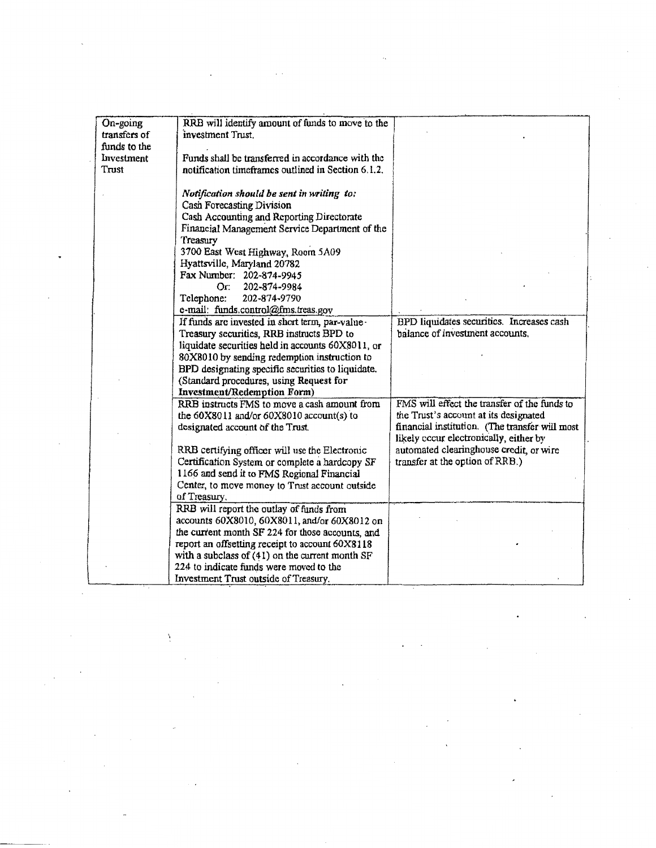| On-going     | RRB will identify amount of funds to move to the                            |                                                |
|--------------|-----------------------------------------------------------------------------|------------------------------------------------|
| transfers of | investment Trust.                                                           |                                                |
| funds to the |                                                                             |                                                |
| Investment   | Funds shall be transferred in accordance with the                           |                                                |
| Trust        | notification timeframes outlined in Section 6.1.2.                          |                                                |
|              |                                                                             |                                                |
|              | Notification should be sent in writing to:                                  |                                                |
|              | Cash Forecasting Division                                                   |                                                |
|              | Cash Accounting and Reporting Directorate                                   |                                                |
|              | Financial Management Service Department of the                              |                                                |
|              | Treasury                                                                    |                                                |
|              | 3700 East West Highway, Room 5A09                                           |                                                |
|              | Hyattsville, Maryland 20782                                                 |                                                |
|              | Fax Number: 202-874-9945                                                    |                                                |
|              | Or:<br>202-874-9984                                                         |                                                |
|              | Telephone:<br>202-874-9790                                                  |                                                |
|              | e-mail: funds.control@fms.treas.gov                                         |                                                |
|              | If funds are invested in short term, par-value -                            | BPD liquidates securities. Increases cash      |
|              | Treasury securities, RRB instructs BPD to                                   | halance of investment accounts.                |
|              | liquidate securities held in accounts 60X8011, or                           |                                                |
|              | 80X8010 by sending redemption instruction to                                |                                                |
|              | BPD designating specific securities to liquidate.                           |                                                |
|              | (Standard procedures, using Request for                                     |                                                |
|              |                                                                             |                                                |
|              | Investment/Redemption Form)<br>RRB instructs FMS to move a cash amount from | FMS will effect the transfer of the funds to   |
|              |                                                                             | the Trust's account at its designated          |
|              | the 60X8011 and/or 60X8010 account(s) to                                    | financial institution. (The transfer will most |
|              | designated account of the Trust.                                            | likely occur electronically, either by         |
|              |                                                                             |                                                |
|              | RRB certifying officer will use the Electronic                              | automated clearinghouse credit, or wire        |
|              | Certification System or complete a hardcopy SF                              | transfer at the option of RRB.)                |
|              | 1166 and send it to FMS Regional Financial                                  |                                                |
|              | Center, to move money to Trust account outside                              |                                                |
|              | of Treasury.                                                                |                                                |
|              | RRB will report the outlay of funds from                                    |                                                |
|              | accounts 60X8010, 60X8011, and/or 60X8012 on                                |                                                |
|              | the current month SF 224 for those accounts, and                            |                                                |
|              | report an offsetting receipt to account 60X8118                             |                                                |
|              | with a subclass of $(41)$ on the current month SF                           |                                                |
|              | 224 to indicate funds were moved to the                                     |                                                |
|              | Investment Trust outside of Treasury.                                       |                                                |

 $\ddot{\phantom{0}}$ 

 $\hat{\mathcal{O}}$ 

Ņ

 $\theta$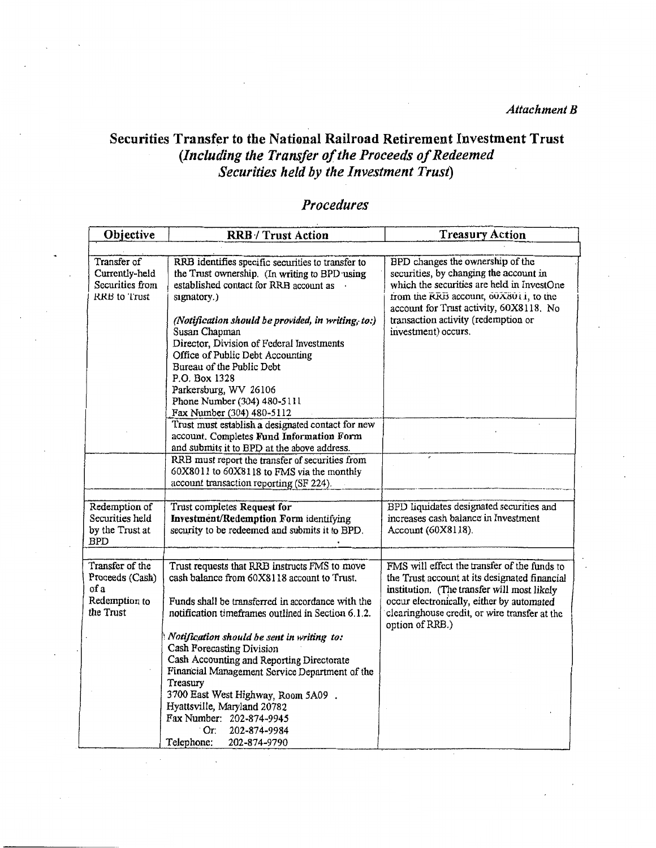*Attachment B* 

## Securities Transfer to the National Railroad Retirement Investment Trust *(Including the Transfer of the Proceeds of Redeemed Securities held* by *the Investment Trust)*

## *Procedures*

| Objective                                                                | <b>RRB</b> / Trust Action                                                                                                                                                                                                                                                                                                                          | <b>Treasury Action</b>                                                                                                                                                                                                                                                     |
|--------------------------------------------------------------------------|----------------------------------------------------------------------------------------------------------------------------------------------------------------------------------------------------------------------------------------------------------------------------------------------------------------------------------------------------|----------------------------------------------------------------------------------------------------------------------------------------------------------------------------------------------------------------------------------------------------------------------------|
|                                                                          |                                                                                                                                                                                                                                                                                                                                                    |                                                                                                                                                                                                                                                                            |
| Transfer of<br>Currently-held<br>Securities from<br>RRB to Trust         | RRB identifies specific securities to transfer to<br>the Trust ownership. (In writing to BPD using<br>established contact for RRB account as .<br>signatory.)<br>(Notification should be provided, in writing, to:)<br>Susan Chapman<br>Director, Division of Federal Investments<br>Office of Public Debt Accounting<br>Bureau of the Public Debt | BPD changes the ownership of the<br>securities, by changing the account in<br>which the securities are held in InvestOne<br>from the RRB account, 60X8011, to the<br>account for Trust activity, 60X8118. No<br>transaction activity (redemption or<br>investment) occurs. |
|                                                                          | P.O. Box 1328<br>Parkersburg, WV 26106<br>Phone Number (304) 480-5111<br>Fax Number (304) 480-5112<br>Trust must establish a designated contact for new<br>account. Completes Fund Information Form                                                                                                                                                |                                                                                                                                                                                                                                                                            |
|                                                                          | and submits it to BPD at the above address.<br>RRB must report the transfer of securities from<br>60X8011 to 60X8118 to FMS via the monthly<br>account transaction reporting (SF 224).                                                                                                                                                             |                                                                                                                                                                                                                                                                            |
| Redemption of<br>Securities held<br>by the Trust at<br><b>BPD</b>        | Trust completes Request for<br>Investment/Redemption Form identifying<br>security to be redeemed and submits it to BPD.                                                                                                                                                                                                                            | BPD liquidates designated securities and<br>increases cash balance in Investment<br>Account (60X8118).                                                                                                                                                                     |
|                                                                          |                                                                                                                                                                                                                                                                                                                                                    |                                                                                                                                                                                                                                                                            |
| Transfer of the<br>Proceeds (Cash)<br>of a<br>Redemption to<br>the Trust | Trust requests that RRB instructs FMS to move<br>cash balance from 60X8118 account to Trust.<br>Funds shall be transferred in accordance with the<br>notification timeframes outlined in Section 6.1.2.                                                                                                                                            | FMS will effect the transfer of the funds to<br>the Trust account at its designated financial<br>institution. (The transfer will most likely<br>occur electronically, either by automated<br>clearinghouse credit, or wire transfer at the<br>option of RRB.)              |
|                                                                          | Notification should be sent in writing to:<br>Cash Forecasting Division<br>Cash Accounting and Reporting Directorate<br>Financial Management Service Department of the<br>Treasury<br>3700 East West Highway, Room 5A09.<br>Hyattsville, Maryland 20782<br>Fax Number: 202-874-9945<br>$\circ$ Or:<br>202-874-9984<br>Telephone:<br>202-874-9790   |                                                                                                                                                                                                                                                                            |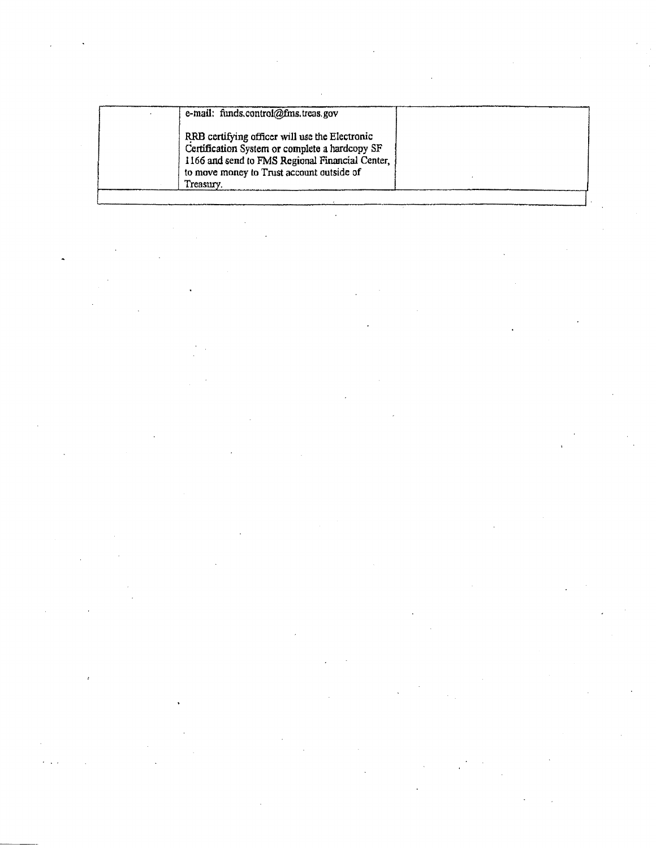| e-mail: funds.control@fms.treas.gov                                                                                                                                                              |  |
|--------------------------------------------------------------------------------------------------------------------------------------------------------------------------------------------------|--|
| RRB certifying officer will use the Electronic<br>Certification System or complete a hardcopy SF<br>1166 and send to FMS Regional Financial Center,<br>to move money to Trust account outside of |  |
| Treasury.                                                                                                                                                                                        |  |

 $\label{eq:2.1} \frac{1}{\sqrt{2}}\left(\frac{1}{\sqrt{2}}\right)^{2} \left(\frac{1}{\sqrt{2}}\right)^{2} \left(\frac{1}{\sqrt{2}}\right)^{2} \left(\frac{1}{\sqrt{2}}\right)^{2} \left(\frac{1}{\sqrt{2}}\right)^{2} \left(\frac{1}{\sqrt{2}}\right)^{2} \left(\frac{1}{\sqrt{2}}\right)^{2} \left(\frac{1}{\sqrt{2}}\right)^{2} \left(\frac{1}{\sqrt{2}}\right)^{2} \left(\frac{1}{\sqrt{2}}\right)^{2} \left(\frac{1}{\sqrt{2}}\right)^{2} \left(\$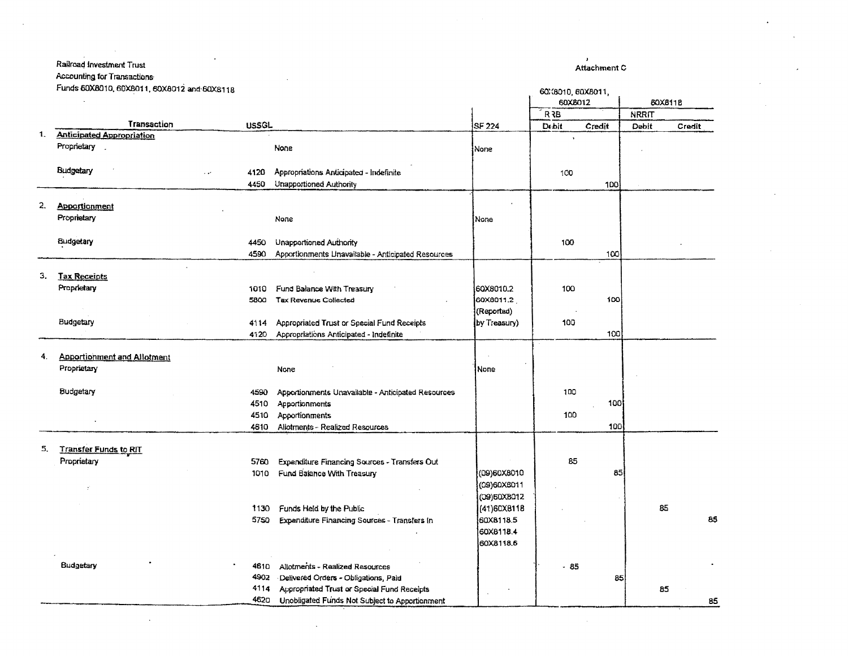#### Railroad Investment Trust  $\ddot{\phantom{a}}$  $\frac{1}{2}$   $\frac{1}{2}$   $\frac{1}{2}$  $\ddot{\phantom{0}}$

| Accounting for Transactions. |  |  |
|------------------------------|--|--|
|------------------------------|--|--|

Funds 60X8010, 60X8011, 60X8012 and 60X8118

 $\mathcal{A}$ 

|    | Funds 60X8010, 60X8011, 60X8012 and 60X8118 |              |                                                                                        |                         | 60:3010, 60X8011, |        |              |         |
|----|---------------------------------------------|--------------|----------------------------------------------------------------------------------------|-------------------------|-------------------|--------|--------------|---------|
|    |                                             |              |                                                                                        |                         | 60X8012           |        |              | 60X811B |
|    |                                             |              |                                                                                        |                         | <b>R3B</b>        |        | <b>NRRIT</b> |         |
|    | Transaction                                 | <b>USSGL</b> |                                                                                        | <b>SF 224</b>           | Debit             | Credit | Debit        | Credit  |
| 1. | <b>Anticipated Appropriation</b>            |              |                                                                                        |                         |                   |        |              |         |
|    | Proprietary                                 |              | None                                                                                   | None                    |                   |        |              |         |
|    |                                             |              |                                                                                        |                         |                   |        |              |         |
|    | Budgetary                                   | 4120         | Appropriations Anticipated - Indefinite                                                |                         | 100               |        |              |         |
|    |                                             | 4450         | Unapportioned Authority                                                                |                         |                   | 100    |              |         |
|    |                                             |              |                                                                                        |                         |                   |        |              |         |
| 2. | <b>Apportionment</b>                        |              |                                                                                        |                         |                   |        |              |         |
|    | Proprietary                                 |              | <b>None</b>                                                                            | None                    |                   |        |              |         |
|    |                                             |              |                                                                                        |                         |                   |        |              |         |
|    | Budgetary                                   | 4450         | Unapportioned Authority                                                                |                         | 100               |        |              |         |
|    |                                             | 4590         | Apportionments Unavailable - Anticipated Resources                                     |                         |                   | 100    |              |         |
| З. |                                             |              |                                                                                        |                         |                   |        |              |         |
|    | <b>Tax Receipts</b><br>Proprietary          |              |                                                                                        |                         |                   |        |              |         |
|    |                                             | 1010         | Fund Balance With Treasury                                                             | 60X8010.2               | 100               |        |              |         |
|    |                                             | 5800         | Tax Revenue Collected                                                                  | 60X8011.2<br>(Reported) |                   | 100    |              |         |
|    | Budgetary                                   | 4114         |                                                                                        | by Treasury)            | 100               |        |              |         |
|    |                                             | 4120         | Appropriated Trust or Special Fund Receipts<br>Appropriations Anticipated - Indefinite |                         |                   | 100    |              |         |
|    |                                             |              |                                                                                        |                         |                   |        |              |         |
| 4. | <b>Apportionment and Allotment</b>          |              |                                                                                        |                         |                   |        |              |         |
|    | Proprietary                                 |              | None                                                                                   | None                    |                   |        |              |         |
|    |                                             |              |                                                                                        |                         |                   |        |              |         |
|    | Budgetary                                   | 4590         | Apportionments Unavailable - Anticipated Resources                                     |                         | 100               |        |              |         |
|    |                                             | 4510         | Apportionments                                                                         |                         |                   | 100    |              |         |
|    |                                             | 4510         | Apportionments                                                                         |                         | 100               |        |              |         |
|    |                                             | 4610         | Allotments - Realized Resources                                                        |                         |                   | 100    |              |         |
|    |                                             |              |                                                                                        |                         |                   |        |              |         |
| 5, | <b>Transfer Funds to RIT</b>                |              |                                                                                        |                         |                   |        |              |         |
|    | Proprietary                                 | 5760         | Expenditure Financing Sources - Transfers Out                                          |                         | 85                |        |              |         |
|    |                                             | 1010         | Fund Balance With Treasury                                                             | (09)60X8010             |                   | 85     |              |         |
|    |                                             |              |                                                                                        | (09)60X8011             |                   |        |              |         |
|    |                                             |              |                                                                                        | (09)50X8012             |                   |        |              |         |
|    |                                             | 1130         | Funds Held by the Public                                                               | (41)60X8118             |                   |        | 85           |         |
|    |                                             | 5750         | Expenditure Financing Sources - Transfers In                                           | 60X8118.5               |                   |        |              | 85      |
|    |                                             |              |                                                                                        | 60X8118.4               |                   |        |              |         |
|    |                                             |              |                                                                                        | 60X8118.6               |                   |        |              |         |
|    |                                             |              |                                                                                        |                         |                   |        |              |         |
|    | Budgetary                                   | 461O         | Allotments - Realized Resources                                                        |                         | - 85              |        |              |         |
|    |                                             | 4902         | Delivered Orders - Obligations, Paid                                                   |                         |                   | 85     |              |         |
|    |                                             | 4114         | Appropriated Trust or Special Fund Receipts                                            |                         |                   |        | 85           |         |
|    |                                             | 4620         | Unobligated Funds Not Subject to Apportionment                                         |                         |                   |        |              | 85      |

Attachment C

 $\overline{\phantom{a}}$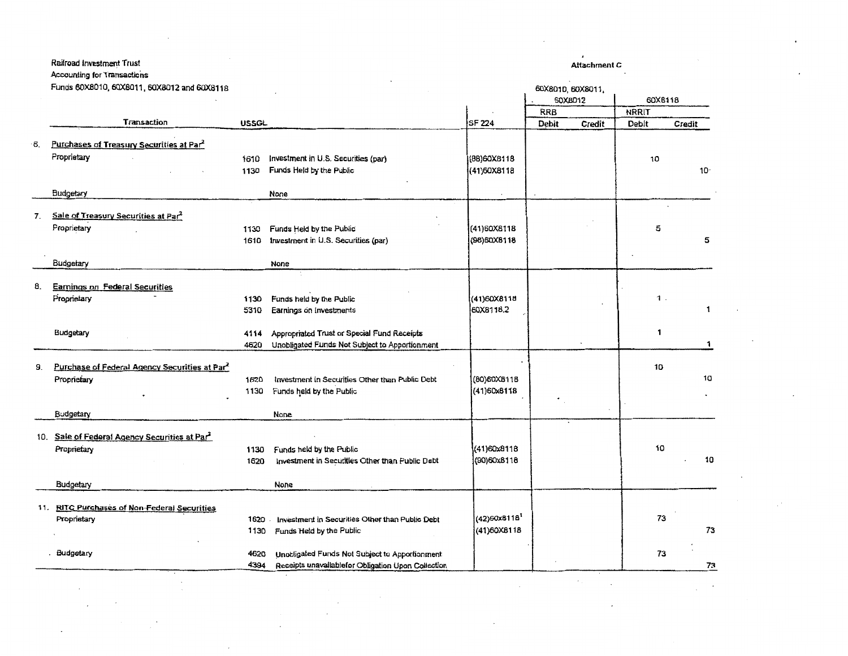#### Railroad Investment Trust

Funds 60X8010, 60X8011, 60X8012 and 60X8118

#### Attachment C

 $\bullet$ 

 $\sim$   $\sim$ 

 $\bar{z}$ 

 $\sim$ 

|     | Funds 60X8010, 60X8011, 60X8012 and 60X8118               |              |                                                                 |                             |       | 60X8010, 60X8011, |         |        |
|-----|-----------------------------------------------------------|--------------|-----------------------------------------------------------------|-----------------------------|-------|-------------------|---------|--------|
|     |                                                           |              |                                                                 |                             |       | 60X8012           | 60XB118 |        |
|     |                                                           |              |                                                                 |                             | RRB   |                   | NRRIT   |        |
|     | Transaction                                               | USSGL        |                                                                 | SF 224                      | Debit | Credit            | Debit   | Credit |
| 6.  | Purchases of Treasury Securities at Par                   |              |                                                                 |                             |       |                   |         |        |
|     | Proprietary                                               |              |                                                                 |                             |       |                   |         |        |
|     |                                                           | 1610<br>1130 | Investment in U.S. Securities (par)<br>Funds Held by the Public | (8B)60X8118<br>(41) 60X8118 |       |                   | 10      | $10 -$ |
|     |                                                           |              |                                                                 |                             |       |                   |         |        |
|     | Budgetary                                                 |              | None                                                            |                             |       |                   |         |        |
| 7.  | Sale of Treasury Securities at Par2                       |              |                                                                 |                             |       |                   |         |        |
|     | Proprietary                                               | 1130         | Funds Held by the Public                                        | (41)60X8118                 |       |                   | 5       |        |
|     |                                                           | 1610         | Investment in U.S. Securities (par)                             | (98) 60X8118                |       |                   |         | 5      |
|     |                                                           |              |                                                                 |                             |       |                   |         |        |
|     | Budgetary                                                 |              | None                                                            |                             |       |                   |         |        |
|     |                                                           |              |                                                                 |                             |       |                   |         |        |
| 8.  | <b>Earnings on Federal Securities</b>                     |              |                                                                 |                             |       |                   |         |        |
|     | Proprietary                                               | 1130         | Funds held by the Public                                        | (41)60X8115                 |       |                   | 1.      |        |
|     |                                                           | 5310         | Earnings on investments                                         | 60X8118.2                   |       |                   |         | 1      |
|     | Budgetary                                                 | 4114         | Appropriated Trust or Special Fund Receipts                     |                             |       |                   | 1       |        |
|     |                                                           | 4620         | Unobligated Funds Not Subject to Apportionment                  |                             |       |                   |         | 1      |
|     |                                                           |              |                                                                 |                             |       |                   |         |        |
| 9.  | Purchase of Federal Agency Securities at Par <sup>2</sup> |              |                                                                 |                             |       |                   | 10      |        |
|     | Proprietary                                               | 1620         | Investment in Securities Other than Public Debt                 | (80)60XB11B                 |       |                   |         | 10     |
|     |                                                           | 1130         | Funds held by the Public                                        | (41)60x8118                 |       |                   |         |        |
|     |                                                           |              |                                                                 |                             |       |                   |         |        |
|     | Budgetary                                                 |              | None                                                            |                             |       |                   |         |        |
| 10. | Sale of Federal Agency Securities at Par2                 |              |                                                                 |                             |       |                   |         |        |
|     | Proprietary                                               | 1130         | Funds held by the Public                                        | (41)60x8118                 |       |                   | 10      |        |
|     |                                                           | 1620         | Investment in Securities Other than Public Debt                 | (90)60x8118                 |       |                   |         | 10     |
|     |                                                           |              |                                                                 |                             |       |                   |         |        |
|     | Budgetary                                                 |              | None                                                            |                             |       |                   |         |        |
| 11. | <b>RITC Purchases of Non-Federal Securities</b>           |              |                                                                 |                             |       |                   |         |        |
|     | Proprietary                                               | 1620         | Investment in Securities Other than Public Debt                 | (42)60x8118 <sup>1</sup>    |       |                   | 73      |        |
|     |                                                           | 1130         | Funds Held by the Public                                        | (41)60X8118                 |       |                   |         | 73     |
|     |                                                           |              |                                                                 |                             |       |                   |         |        |
|     | Budgetary                                                 | 4620         | Unobligated Funds Not Subject to Apportionment                  |                             |       |                   | 73      |        |
|     |                                                           | 4394         | Receipts unavailable for Obligation Upon Collection             |                             |       |                   |         | 73     |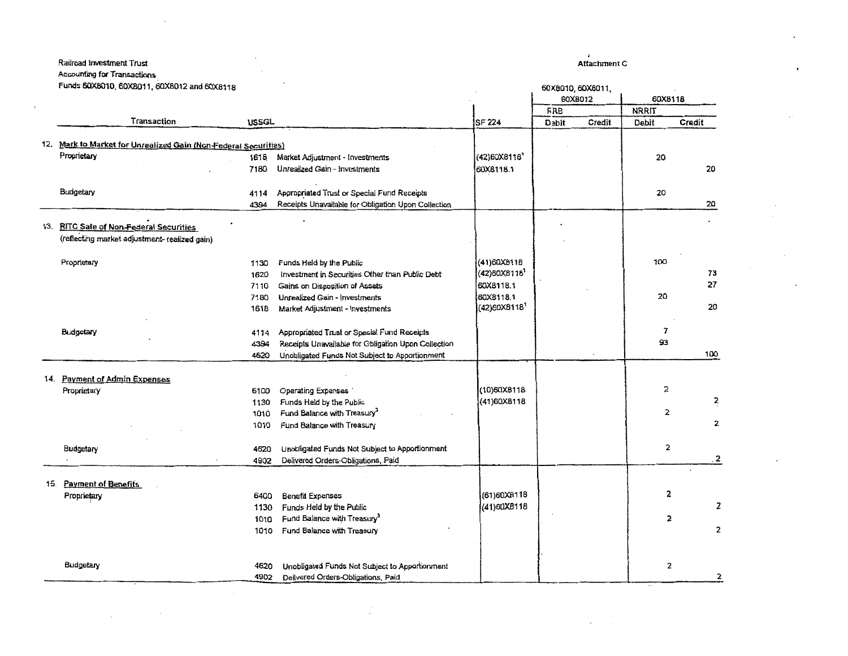#### **Railroad Investment Trust**

Accounting for Transactions

Funds 60X8010, 60X8011, 60X8012 and 60X8118

#### 60X8012 60X8118 **FRB NRRIT** Transaction **USSGL SF 224** Dapit Credit Debit Credit 12. Mark to Market for Unrealized Gain (Non-Federal Securities) (42)60X8116 Proprietary 1618 Market Adjustment - Investments 20 60X8118.1 20 7180 Unrealized Gain - Investments Budgetary Appropriated Trust or Special Fund Receipts 20 4114 Receipts Unavailable for Obligation Upon Collection 20 4394 13. RITC Sale of Non-Federal Securities (reflecting market adjustment- realized gain) Funds Held by the Public (41) 60XB11B 100 Proprietary 1130 (42)60X8118<sup>1</sup> 73 Investment in Securities Other than Public Debt 1620 27 60XB118.1 7110 Gains on Disposition of Assets 60X8118.1 20 Unrealized Gain - Investments 7180 (42)60X8118<sup>1</sup> 20 Market Adjustment - Investments 1618  $\overline{7}$ Appropriated Trust or Special Fund Receipts Budgetary 4114 93 Receipts Unavailable for Obligation Upon Collection 4394 Unobligated Funds Not Subject to Apportionment 100 4620 14. Payment of Admin Expenses (10)60X8118 2 Proprietary 6100 Operating Expenses (41)60X8118 2 1130 Funds Held by the Public 2 Fund Balance with Treasury<sup>3</sup> 1010  $\overline{\mathbf{z}}$ Fund Balance with Treasury 1010 2 Unobligated Funds Not Subject to Apportionment Budgetary 4620  $\overline{\mathbf{2}}$ Delivered Orders-Obligations, Paid 4902  $\overline{\phantom{a}}$ 15. Payment of Benefits 2 (61) 60X8118 **Benefit Expenses** Proprietary 6400 z (41) 60XB118 1130 Funds Held by the Public Fund Balance with Treasury<sup>3</sup>  $\mathbf{c}$ 1010  $\overline{\mathbf{2}}$ Fund Balance with Treasury 1010 Budgetary 4620 Unobligated Funds Not Subject to Apportionment 2 Delivered Orders-Obligations, Paid 2 4902

Attachment C

60X8010, 60X8011,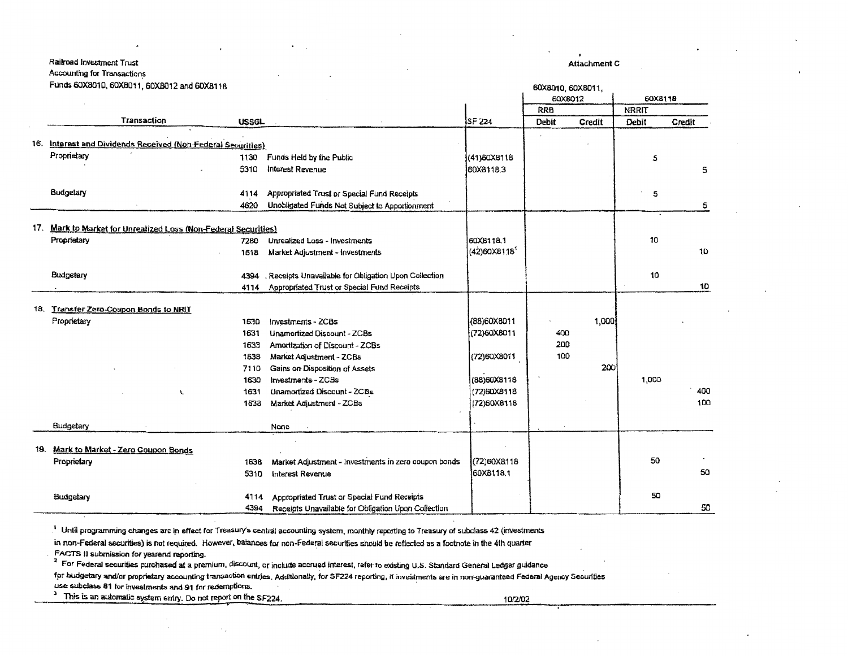#### Railroad Investment Trust

Accounting for Transactions

#### Funds 60X8010, 60X8011, 60XB012 and 60X8118

Attachment c

|     | Punus GOADO IU, GOADO II, GOADO IZ and GOAD I 18                |              |                                                                                                    |                            | <b>60X8010, 60X8011,</b> |        |              |        |
|-----|-----------------------------------------------------------------|--------------|----------------------------------------------------------------------------------------------------|----------------------------|--------------------------|--------|--------------|--------|
|     |                                                                 |              |                                                                                                    |                            | 60X8012                  |        | 60X8118      |        |
|     |                                                                 |              |                                                                                                    |                            | <b>RRB</b>               |        | <b>NRRIT</b> |        |
|     | <b>Transaction</b>                                              | <b>USSGL</b> |                                                                                                    | SF 224                     | Debit                    | Credit | Debit        | Credit |
| 16. | Interest and Dividends Received (Non-Federal Securities)        |              |                                                                                                    |                            |                          |        |              |        |
|     | Proprietary                                                     | 1130         | Funds Held by the Public                                                                           | (41)60X8118                |                          |        | 5            |        |
|     |                                                                 | 5310         | interest Revenue                                                                                   | 60X8118.3                  |                          |        |              | s      |
|     |                                                                 |              |                                                                                                    |                            |                          |        |              |        |
|     | Budgetary                                                       | 4114         | Appropriated Trust or Special Fund Receipts                                                        |                            |                          |        | 5            |        |
|     |                                                                 | 4620         | Unobligated Funds Not Subject to Apportionment                                                     |                            |                          |        |              | 5      |
|     |                                                                 |              |                                                                                                    |                            |                          |        |              |        |
|     | 17. Mark to Market for Unrealized Loss (Non-Federal Securities) |              |                                                                                                    |                            |                          |        |              |        |
|     | Proprietary                                                     | 7280         | Unrealized Loss - Investments                                                                      | 60X8118.1                  |                          |        | 10           |        |
|     |                                                                 | 1618         | Market Adjustment - Investments                                                                    | $(42)60X8118$ <sup>1</sup> |                          |        |              | 10     |
|     | Budgetary                                                       | 4394         | . Receipts Unavailable for Obligation Upon Collection                                              |                            |                          |        | 10           |        |
|     |                                                                 | 4114         | Appropriated Trust or Special Fund Receipts                                                        |                            |                          |        |              | 10     |
|     |                                                                 |              |                                                                                                    |                            |                          |        |              |        |
|     | 18. Transfer Zero-Coupon Bonds to NRIT                          |              |                                                                                                    |                            |                          |        |              |        |
|     | Proprietary                                                     | 1630         | Investments - ZCBs                                                                                 | (88)60X8011                |                          | 1,000  |              |        |
|     |                                                                 | 1631         | <b>Unamortized Discount - ZCBs</b>                                                                 | (72)60X8011                | 400                      |        |              |        |
|     |                                                                 | 1633         | Amortization of Discount - ZCBs                                                                    |                            | 200                      |        |              |        |
|     |                                                                 | 1638         | Market Adjustment - ZCBs                                                                           | (72)60X8011                | 100                      |        |              |        |
|     |                                                                 | 7110         | Gains on Disposition of Assets                                                                     |                            |                          | 200    |              |        |
|     |                                                                 | 1630         | Investments - ZCBs                                                                                 | (88)60X8118                |                          |        | 1,000        |        |
|     | L                                                               | 1631         | Unamortized Discount - ZCBs                                                                        | (72)60X8118                |                          |        |              | 400    |
|     |                                                                 | 1638         | Market Adjustment - ZCBs                                                                           | (72)60X8118                |                          |        |              | 100    |
|     |                                                                 |              |                                                                                                    |                            |                          |        |              |        |
|     | Budgetary                                                       |              | None                                                                                               |                            |                          |        |              |        |
|     |                                                                 |              |                                                                                                    |                            |                          |        |              |        |
| 19. | Mark to Market - Zero Coupon Bonds                              |              |                                                                                                    |                            |                          |        |              |        |
|     | Proprietary                                                     | 1638         | Market Adjustment - Investments in zero coupon bonds                                               | (72)60X8118                |                          |        | 50           |        |
|     |                                                                 | 5310         | <b>Interest Revenue</b>                                                                            | 60X8118.1                  |                          |        |              | 50     |
|     |                                                                 |              |                                                                                                    |                            |                          |        | 50           |        |
|     | Budgetary                                                       | 4114<br>4394 | Appropriated Trust or Special Fund Receipts<br>Receipts Unavailable for Obligation Upon Collection |                            |                          |        |              | 50     |
|     |                                                                 |              |                                                                                                    |                            |                          |        |              |        |

<sup>1</sup> Until programming changes are in effect for Treasury's central accounting system, monthly reporting to Treasury of subclass 42 (investments

in non-Federal securities) is not required. However, balances for non-Federal securities should be reflected as a footnote in the 4th quarter

FACTS II submission for yearend reporting.

<sup>2</sup> For Federal securities purchased at a premium, discount, or include accrued interest, refer to existing U.S. Standard General Ledger guidance

for budgetary and/or proprietary accounting transaction entries. Additionally, for \$F224 reporting, if investments are in non-guaranteed Federal Agency Securities

use subclass 81 for investments and 91 for redemptions.

<sup>3</sup> This is an automatic system entry. Do not report on the SF224. 10/20202